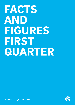# <span id="page-0-1"></span><span id="page-0-0"></span>FACTS AND FIGURES FIRST QUARTER

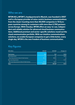## <span id="page-1-0"></span>Who we are

NFON AG ("NFON"), headquartered in Munich, was founded in 2007 and is a European provider of voice-centric business communications from the cloud. Counting more than 40,000 companies in 15 European countries among its customers with more than 2,700 partners across Europe. With Cloudya, NFON offers an easy-to-use, independent and reliable solution for advanced cloud business communications. Additional premium and sector-specific solutions round out the cloud communication portfolio. With our intuitive communications solutions, we enable European companies to get a little better, every single day. NFON is the new freedom of business communication.

## Key figures

| <b>EUR</b> million                              | 3M 2021 | 3M 2020 | Change in % |
|-------------------------------------------------|---------|---------|-------------|
| Total revenue                                   | 18.9    | 16.4    | 15.2%       |
| <b>Recurring revenue</b>                        | 16.8    | 14.1    | 19.6%       |
| Recurring revenue as share of total revenue     | 89.1%   | 85.8%   | n/a         |
| Non-recurring revenue                           | 2.1     | 2.3     | $-11.9%$    |
| Non-recurring revenue as share of total revenue | 10.9%   | 14.2%   | n/a         |
| <b>Seats</b>                                    | 541,973 | 467,253 | 16.0%       |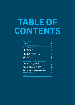## TABLE OF CONTENTS

| <b>Our Company</b>                                  | 4  |
|-----------------------------------------------------|----|
| Foreword                                            | 4  |
| <b>Quarterly report for 1/2021</b>                  | 6  |
| Overview of business performance                    | 6  |
| <b>Results of operations</b>                        | 6  |
| <b>Cost of materials</b>                            | 7  |
| <b>Staff costs</b>                                  | 8  |
| Other operating expenses                            | 8  |
| EBITDA, EBIT, consolidated profit/loss              | 8  |
| <b>Financial position</b>                           | 9  |
| Supplementary report                                | 9  |
| <b>Forecast</b>                                     | 9  |
| <b>Consolidated interim financial statement</b>     | 10 |
| <b>Consolidated income statement and</b>            |    |
| consolidated statement of comprehensive income      | 11 |
| <b>Consolidated statement of financial position</b> | 12 |
| <b>Consolidated statement of cash flows</b>         | 14 |
| Consolidated statement of changes in equity 2021    | 16 |
| Consolidated statement of changes in equity 2020    | 17 |
| <b>Financial Calendar</b>                           | 18 |

**Imprint**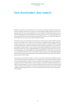### <span id="page-3-0"></span>Dear shareholders, dear readers!

NFON has started the current financial year with momentum. We have managed to achieve this despite a market environment that continues to be dominated by COVID-19. Recurring revenue in particular showed a very positive development. It rose by 19.6% to EUR 16.8 million (previous year: EUR 14.1 million) and thus increased disproportionately to total revenue. As a result, recurring revenue accounted for 89.1% of total revenue (previous year: 85.8%). Total revenue of EUR 18.9 million was 15.2% higher than the previous year's figure of EUR 16.4 million.

Key factors for the positive development of the business in the first three months of 2021 include the successful acquisition of new customers and the growth of installed extensions (seats) within the existing customer base. The number of seats increased to 541,973, an increase of 16.0% compared to the same date last year. Against the backdrop of continued strong working from home, the correspondingly increased volume of voice minutes and the positive development of Deutsche Telefon Standard, average revenue per user (blended ARPU) rose significantly to EUR 10.19 in the first quarter of 2021 (previous year: EUR 9.88). The increased blended ARPU in combination with yet lower costs compared to the previous year had a positive impact on how revenue developed. Adjusted earnings before interest, taxes, depreciation and amortisation (EBITDA) amounted to EUR 1.8 million (previous year: EUR 0.2 million).

The business communications market is currently in its third wave of disruption. Telephony, unified communications and business applications are converging. Voice is and remains the primary channel of communication between customers, business partners and employees and is the foundation of our business model. Thanks to this know-how, we focus on European corporate customers in the SME to enterprise segment. For them, working in flexible working environments and hybrid working models consisting of working from home and at the office are becoming the new normal. We will capitalise on this development with our Growth Strategy 2024 and further accelerate the development of NFON.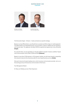#### QUARTERLY REPORT 1/ 2021 FOREWORD

<span id="page-4-0"></span>

Dr. Klaus von Rottkay, Chief Executive Officer



Jan-Peter Koopmann, Chief Technology Officer

The three areas Target – Enhance – Scale summarise our growth strategy:

Based on our key differentiators, we will optimise our product portfolio and go-to-market approach. The differentiators are integrated business communications, superior usability and user interfaces, and channel sales. This approach will allow NFON to operate and expand even more efficiently **(Target)**.

As a growth driver, we are expanding our Cloudya platform towards "smarter workflow"-based voice communication with UCaaS, CCaaS and iPaaS **(Enhance)**.

Based on more than 2,700 partners in 15 European markets, we will invest heavily in expanding this network to become the channel provider for voice-based business services **(Scale)**.

We want to become Europe's leading voice-centric business communication provider. Join us on the exciting journey to the business communication of the future.

Your Management Board,

Dr. Klaus von Rottkay und Jan-Peter Koopmann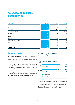## Overview of business performance

| <b>EUR</b> million            | 3M 2021 | 3M 2020 | Change in % |
|-------------------------------|---------|---------|-------------|
| Revenue                       | 18.9    | 16.4    | 15.2        |
| Cost of materials             | 3.6     | 3.7     | $-0.6$      |
| Gross profit                  | 15.2    | 12.7    | 19.7        |
| Other operating income        | 0.2     | 0.3     | $-48.2$     |
| Staff costs                   | 8.0     | 7.2     | 11.7        |
| Other operating expenses      | 6.0     | 6.0     | 0.1         |
| <b>EBITDA</b>                 | 1.6     | $-0.1$  | n/a         |
| Adj. EBITDA                   | 1.8     | 0.2     | n/a         |
| Amortisation and depreciation | 1.5     | 0.9     | 73.9        |
| <b>EBIT</b>                   | 0.1     | $-1.0$  | n/a         |
| Net interest expense          | 0.1     | 0.1     | 7.3         |
| Net tax expense               | 0.0     | 0.0     | n/a         |
| <b>Consolidated loss</b>      | $-0.1$  | $-1.1$  | n/a         |

#### Results of operations

The trend in revenue growth remained positive overall as against the previous year. In particular, recurring revenue climbed very well, at a faster rate than overall revenue (19.6%).

Revenue growth in the first three months of 2021 primarily resulted from the acquisition of new customers and a rise in the number of installed seats within the existing customer base, particularly in Germany and Austria.

In addition, some of the revenue growth resulted from the intensified sales of the expanded product portfolio among both new customers and the existing customer base.

#### Recurring revenues show very positive development



Recurring revenue essentially comprises monthly payments of a fixed license fee per seat plus a fixed or volume-based fee for voice telephony usage. At 89.1% of total revenue (previous year: 85.8%), the share of recurring revenue meets the forecast announced for 2021 as a whole (>85%).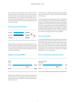<span id="page-6-0"></span>The cumulative effect typical for revenue performance, in relation to seats yet to be gained over the year, is evident from the trend in the recurring revenue generated in the individual quarters. Non-recurring revenue includes revenue from sales of devices (telephones, soft clients for PCs and smartphones) and the one-time activation fee per seat when it is first connected.

#### Further growing seat base



Seat development attests to the growing demand for cloud telephone systems among business customers. At the same time, it underlines the high level of satisfaction felt by NFON's very loyal customers as the new seats are offset by only a low number of terminations.

#### **Slightly increased ARPU**



NFON uses the average recurring revenue across all services, sales channels and countries per user (seat), referred to as average revenue per user (ARPU), to measure operating performance per seat.

The improvement in ARPU in the reporting period as against the first three months of 2020 is mainly a result of higher airtime revenue.

The partnership with wholesale partners, which is developing very successfully, also has a relevant impact on ARPU performance. Firstly, discounted prices are being agreed thanks to the high number of seats sold and, secondly, some of these partners do not purchase voice minutes through NFON. On average, lower ARPU is generated as the share of seats billed through wholesale partners increases. NFON is countering this trend by increasing sales of premium solutions which, in turn, allows the company to achieve a strong ARPU.

#### Cost of materials

In the reporting period, the cost of materials are at the same level as the previous year. This resulted in a lower cost of materials ratio for the first three months than in the previous year of 19.3% (3M 2020: 22.4%). This falls within regular fluctuations, in line with planning. The positive development reflects firstly the economies of scale achieved, and secondly the high share of recurring revenue, which has a much higher margin than non-recurring revenue.

#### Cost of materials on previous year's

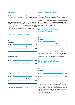#### <span id="page-7-0"></span>Staff costs

Staff costs have also risen in line with the increase in average headcount. This increase was brought about by ongoing strategic recruitment.

Staff costs are adjusted for non-recurring effects. The adjustments in the reporting period include EUR 0.2 million in stock option programme expenses. Retention bonuses of EUR 0.1 million and stock option programme expenses of EUR 0.2 million had been recognised in the same period of the previous year.

#### Other operating expenses

Other operating expenses in the reporting period were at the same level as the previous year. Thereby marketing expenses were still below the previous year's level. With the Growth Strategy 2024 published in April 2021, the Management Board announced that marketing expenses are to be increased by more than 50% in the course of the 2021 financial year compared to the previous year.

#### Marketing expenses still below previous year's level



The adjusted personnel cost ratio of 41.4% is at the same level as the previous year (3M 2020: 41.7%).

#### Marketing expenses in EUR million **1.1 1.7** 3M 2021 3M 2020 −32.1%

In contrast, sales expenses increased as a result of the higher revenue volume. Selling expenses as a percentage of revenue amounted to 12.4% in the first three months of 2021, almost equal to the 12.1% in the same period of the previous year.

#### Sales expenses follow increase in turnover



The increase in miscellaneous other operating expenses in the first three months of 2021 compared with the first quarter of 2020 was due partly to foreign currency losses of EUR 0.2 million (previous year: foreign currency gains of EUR 0.1 million). Consulting expenses for M&A activities of EUR 0.1 million were adjusted for in the reporting period (previous year: EUR 0.0 million).

#### Staff base continues to grow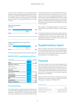In total, the ratio of adjusted other operating expenses to sales fell compared with the first quarter of 2020 to 31.9% in the first quarter of 2021 (3M 2020: 36.4%). Now that significantly higher expenses are planned again with the 2024 growth strategy, it is to be expected that these costs will also rise again.

#### Other operating expenses

in EUR million



| 3M 2021 |                  | 5.9 |
|---------|------------------|-----|
|         | $\bigcirc$ -0.8% |     |
| 3M 2020 |                  | 6.0 |

#### EBITDA, EBIT, consolidated profit/loss

| in EUR million                              | 3M 2021 | 3M 2020 |
|---------------------------------------------|---------|---------|
| <b>EBITDA</b>                               | 1.6     | $-0.1$  |
| Adjustments in staff costs:                 |         |         |
| Retention bonus                             | 0.0     | 0.1     |
| Share options/ESOPS                         | 0.2     | 0.2     |
| Adjustments<br>in other operating expenses: |         |         |
| M&A expenses                                | 0.1     | 0.0     |
| Total adjustments                           | 0.2     | 0.3     |
| <b>Adjusted EBITDA</b>                      | 1.8     | 0.2     |
| <b>EBIT</b>                                 | 0.1     | $-1.0$  |
| <b>Consolidated loss</b>                    | $-0.1$  | $-1.1$  |
| <b>Adjusted consolidated loss</b>           | 0.2     | $-0.8$  |

#### Financial position

In the reporting period, a capital increase was performed with pre-emption rights disapplied, whereby the company's share capital was increased by EUR 1.5 million by issuing 1,505,555 new shares. The placement price was EUR 17.50 per share, so the Group obtained cash funds totalling EUR 26.3 million. The difference between the placement price and the par value per new share was recognised after deduction of transaction costs at an amount totalling EUR 24.3 million in capital reserves. The capital increase was entered in the commercial register on 29 March 2021. Thanks to the cash funds received in connection with the capital increase, NFON AG has a basis for further growth.

The acquisition credit facility utilised in the amount of EUR 9.0 million as at 31 March 2021 has since been repaid in full.

In the reporting period, investments were made in particular in capitalised development costs and the implementation and customisation of the new business support system. The capitalised development costs relate to new products and new features for existing products.

### Supplementary report

With the exception of the above-mentioned full repayment of the credit facility utilised in the amount of EUR 9.0 million as at 31 March 2021, there were no events after 31 March 2021 that could have a significant impact on the company's financial position or financial performance.

### Forecast

The forecast is based on the information available as at 19 May 2021, taking the opportunities and risks of the NFON Group as presented into account. Thus, deviations can occur between the planning data published in the annual report as at 31 December 2020 and the figures actually achieved at the end of 2021. This also applies to the assumptions regarding general economic conditions.

Please also refer to the comments in the report on risks and opportunities in the financial report as at 31 December 2020. These apply unchanged as at 31 March 2021.

#### Forecast overview

| Non-recurring revenue            | > 8.5%              |
|----------------------------------|---------------------|
| Growth rate of recurring revenue | Between 14% and 16% |
| Growth rate of seats             | Between 15% and 17% |
|                                  |                     |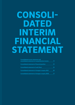## CONSOLI-DATED INTERIM FINANCIAL STATEMENT

| <b>Consolidated income statement and</b><br>consolidated statement of comprehensive income | 11 |
|--------------------------------------------------------------------------------------------|----|
| <b>Consolidated statement of financial position</b>                                        | 12 |
| <b>Consolidated statement of cash flows</b>                                                | 14 |
| <b>Consolidated statement of changes in equity 2021</b>                                    | 16 |
| <b>Consolidated statement of changes in equity 2020</b>                                    |    |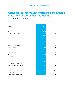## Consolidated income statement and consolidated statement of comprehensive income

for the period 01.01. to 31.03.2021

| <b>EUR thousand</b>                                                               | 3M 2021        | 3M 2020  |
|-----------------------------------------------------------------------------------|----------------|----------|
|                                                                                   | 18,875         |          |
| Revenue                                                                           |                | 16,391   |
| Other operating income                                                            | 163            | 315      |
| Cost of materials                                                                 | $-3,648$       | $-3,672$ |
| Staff costs                                                                       | $-7,996$       | $-7,157$ |
| Depreciation and amortisation                                                     | $-1,484$       | $-853$   |
| Other operating expenses                                                          | $-5,987$       | $-5,979$ |
| Impairment losses on receivables                                                  | 156            | 0        |
| Other tax expense                                                                 | $-5$           | -4       |
| Income from continuing operations before<br>net interest income and incomes taxes | 76             | $-959$   |
| Interest and similar income                                                       | 3              | 5        |
| Interest and similar expenses                                                     | $-131$         | $-117$   |
| Net interest expense                                                              | $-129$         | $-112$   |
| Earnings before income taxes                                                      | $-53$          | $-1,071$ |
| Income tax expense                                                                | $-108$         | 0        |
| Deferred tax expense                                                              | 78             | $-29$    |
| Net loss                                                                          | $-83$          | $-1,099$ |
| Attributable to:                                                                  |                |          |
| Shareholders of the parent company                                                | $-83$          | $-1,099$ |
| Non-controlling interests                                                         | $\overline{0}$ | O        |
| Other comprehensive income                                                        | 282            | –180     |
| Taxes on other comprehensive income                                               | $\overline{0}$ | 0        |
| Other comprehensive income after taxes                                            | 282            | -180     |
| Total comprehensive income                                                        | 198            | $-1,280$ |
| Attributable to:                                                                  |                |          |
| Shareholders of the parent company                                                | 198            | $-1,280$ |
| Non-controlling interests                                                         | $\Omega$       | $\Omega$ |
| Net loss per share, basic and diluted                                             | $-0.01$        | $-0.07$  |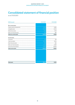## Consolidated statement of financial position

as at 31.03.2021

| <b>EUR thousand</b>             | 31.03.2021 | 31.12.2020 |
|---------------------------------|------------|------------|
| Non-current assets              |            |            |
| Property, plant and equipment   | 9,210      | 9,482      |
|                                 |            |            |
| Intangible assets               | 27,539     | 27,079     |
| Deferred tax assets             | 1,180      | 1,079      |
| Other non-financial assets      | 359        | 283        |
| <b>Total non-current assets</b> | 38,288     | 37,924     |
| <b>Current assets</b>           |            |            |
| Inventories                     | 155        | 149        |
| Trade receivables               | 9,579      | 9,973      |
| Other financial assets          | 390        | 390        |
| Other non-financial assets      | 2,533      | 2,290      |
| Cash and cash equivalents       | 47,967     | 23,034     |
| <b>Total current assets</b>     | 60,623     | 35,837     |
|                                 |            |            |
|                                 |            |            |
|                                 |            |            |
|                                 |            |            |
|                                 |            |            |
|                                 |            |            |
| <b>Total assets</b>             | 98,912     | 73,761     |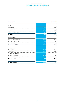#### QUARTERLY REPORT 1/ 2021 CONSOLIDATED INTERIM FINANCIAL STATEMENT

| <b>EUR thousand</b>                  | 31.03.2021 | 31.12.2020 |
|--------------------------------------|------------|------------|
| Equity                               |            |            |
| Issued capital                       | 16,561     | 15,056     |
| Capital reserves                     | 108,397    | 83,926     |
| Net loss                             | $-53,994$  | $-53,911$  |
| Currency translation reserve         | 788        | 505        |
| <b>Total equity</b>                  | 71,752     | 45,577     |
| Non-current liabilities              |            |            |
| Non-current financial liabilities    | 4,378      | 4,577      |
| Other non-current liabilities        | 194        | 186        |
| Deferred tax liabilities             | 808        | 802        |
| <b>Total non-current liabilities</b> | 5,379      | 5,565      |
| <b>Current liabilities</b>           |            |            |
| Trade payables                       | 3,980      | 4,931      |
| Current provisions                   | 2,337      | 2,262      |
| Current income tax liabilities       | 211        | 137        |
| Current financial liabilities        | 10,503     | 10,690     |
| Other non-financial liabilities      | 4,750      | 4,600      |
| <b>Total current liabilities</b>     | 21,782     | 22,619     |
| <b>Total equity and liabilities</b>  | 98,912     | 73,761     |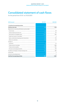## Consolidated statement of cash flows

for the period from 01.01. to 31.03.2021

| <b>EUR thousand</b>                                     | 3M 2021  | 3M 2020  |
|---------------------------------------------------------|----------|----------|
| 1. Cash flow from operating activities                  |          |          |
| Profit/loss after taxes                                 | $-83$    | $-1,100$ |
| Adjustments to reconcile profit (loss) to cash provided |          |          |
| Income taxes                                            | $-22$    | 28       |
| Interest expenses (income), net                         | 129      | 112      |
| Amortisation of intangible assets                       | 1,484    | 853      |
| Impairment losses on receivables                        | $-156$   | O        |
| Equity-settled share-based payment transactions         | 169      | 179      |
| Other non-cash items                                    | $-158$   | $-79$    |
| Changes in:                                             |          |          |
| Inventories                                             | $-6$     | $-75$    |
| Trade and other receivables                             | 232      | $-896$   |
| Trade and other payables                                | $-850$   | $-792$   |
| Provisions and employee benefits                        | $-86$    | 416      |
| The effects of changes in foreign exchange rates        | 282      | $-180$   |
| Interest paid                                           | $-4$     | Ω        |
| Income tax refunds/payments                             | $\Omega$ | $-3$     |
| Cash flow from operating activities                     | 930      | $-1,537$ |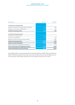#### QUARTERLY REPORT 1/ 2021 CONSOLIDATED INTERIM FINANCIAL STATEMENT

| <b>EUR thousand</b>                                       | 3M 2021  | 3M 2020  |
|-----------------------------------------------------------|----------|----------|
|                                                           |          |          |
| 2. Cash flow from investing activities                    |          |          |
| Payments for investments in property, plant and equipment | $-281$   | $-208$   |
| Payments for investments in intangible assets             | $-1,289$ | $-951$   |
| Cash flow from investing activities                       | $-1,571$ | $-1,159$ |
| 3. Cash flow from financing activities                    |          |          |
| Proceeds from the capital increase                        | 26,026   |          |
| Payments for leases (IFRS 16)                             | $-487$   | $-337$   |
| Repayments of bank loans, bonds and similar liabilities   | $\Omega$ | $-5,081$ |
| Cash flow from financing activities                       | 25,539   | $-5,418$ |
| Change in cash and cash equivalents                       | 24,898   | $-8,114$ |
| Effects of movements in exchange rates on cash held       | 34       | $-31$    |
| Cash and cash equivalents at the beginning of the period  | 23,034   | 36,419   |
| Cash and cash equivalents at the end of the period        | 47,967   | 28,274   |

As at 31 March 2021, cash and cash equivalents include bank balances of EUR 319 thousand (31 March 2020: EUR 336 thousand) that the Group cannot access freely as they are security deposits by customers with poor credit ratings. All restrictions on such deposits are short term in nature.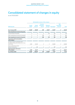## Consolidated statement of changes in equity

as at 31.03.2021

|                                                                                                         | Attributable to owners of the company |                     |                                           |                 |                       |                                         |              |
|---------------------------------------------------------------------------------------------------------|---------------------------------------|---------------------|-------------------------------------------|-----------------|-----------------------|-----------------------------------------|--------------|
| <b>EUR thousand</b>                                                                                     | <b>Issued</b><br>capital              | Capital<br>reserves | <b>Currency</b><br>translation<br>reserve | <b>Retained</b> | earnings Total equity | Non-<br>controlling<br><b>interests</b> | <b>Total</b> |
| As at 1 January 2021                                                                                    | 15,056                                | 83,926              | 506                                       | $-53,911$       | 45,576                | 0                                       | 45,576       |
| Total comprehensive income for the period                                                               |                                       |                     |                                           |                 |                       |                                         |              |
| Loss (income) for the period                                                                            | 0                                     | $\Omega$            | $\Omega$                                  | $-83$           | $-83$                 | ∩                                       | $-83$        |
| Other comprehensive income for the period                                                               | 0                                     | 0                   | 282                                       | 0               | 282                   | Ω                                       | 282          |
| Total comprehensive income for the period                                                               | 0                                     | 0                   | 282                                       | $-83$           | 198                   | 0                                       | 198          |
| <b>Transactions with the shareholders</b><br>of the company                                             |                                       |                     |                                           |                 |                       |                                         |              |
| Increase in equity in connection with<br>the capital increase after deduction of trans-<br>action costs | 1,506                                 | 24.302              | 0                                         | 0               | 25,808                | 0                                       | 25,808       |
| Equity-settled share-based<br>payment transactions                                                      | 0                                     | 169                 | 0                                         | 0               | 169                   | 0                                       | 169          |
| Total transactions with owners<br>of the company                                                        | 1,506                                 | 24,471              | 0                                         | 0               | 25,977                | 0                                       | 25,977       |
| As at 31 March 2021                                                                                     | 16,562                                | 108,397             | 787                                       | $-53,994$       | 71,751                | 0                                       | 71,751       |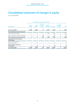## Consolidated statement of changes in equity

as at 31.03.2020

|                          |                     |                                           |                 |          | Non-<br>controlling<br><b>interests</b> | <b>Total</b> |
|--------------------------|---------------------|-------------------------------------------|-----------------|----------|-----------------------------------------|--------------|
| <b>Issued</b><br>capital | Capital<br>reserves | <b>Currency</b><br>translation<br>reserve | <b>Retained</b> |          |                                         |              |
| 15,056                   | 82,987              | 777                                       | $-51,674$       | 47,146   | 0                                       | 47,146       |
|                          |                     |                                           |                 |          |                                         |              |
| $\Omega$                 | $\Omega$            | $\Omega$                                  | $-1,100$        | $-1,100$ | $\Omega$                                | $-1,100$     |
| 0                        | 0                   | $-180$                                    | 0               | $-180$   | $\Omega$                                | $-180$       |
| 0                        | 0                   | $-180$                                    | $-1,100$        | $-1,280$ | 0                                       | $-1,280$     |
|                          |                     |                                           |                 |          |                                         |              |
| 0                        | 178                 | 0                                         | 0               | 178      | $\Omega$                                | 178          |
| 0                        | 178                 | 0                                         | 0               | 178      | 0                                       | 178          |
| 15,056                   | 83,165              | 597                                       | $-52,774$       | 46,044   | 0                                       | 46,044       |
|                          |                     |                                           |                 |          | earnings<br><b>Total equity</b>         |              |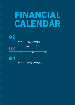## FINANCIAL CALENDAR

|    | May 20, 2021 | <b>Publication Financial Statements</b><br>1. Quarter 2021 (3-month report)<br>(Web and telephone conference) |
|----|--------------|---------------------------------------------------------------------------------------------------------------|
| OK | Jun 24, 2021 | <b>Annual General Meeting NFON AG</b><br>(virtual)                                                            |
|    | Aug 19, 2021 | Publication Half-Year Financial Statements 2021                                                               |
| Q4 |              |                                                                                                               |
|    | Nov 18, 2021 | <b>Publication Financial Statements</b>                                                                       |

 3. Quarter 2021 (9-Months-Report) (Web and telephone conference)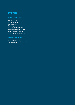## Imprint

#### Investor Relations

Sabina Prüser Machtlfinger Str. 7 81379 Munich **Germany** Tel.: +49 89 45300-134 Fax: +49 30 45300-33134 sabina.prueser@nfon.com https://corporate.nfon.com

#### Concept and Design

IR-ONE AG&Co. KG, Hamburg www.ir-one.de